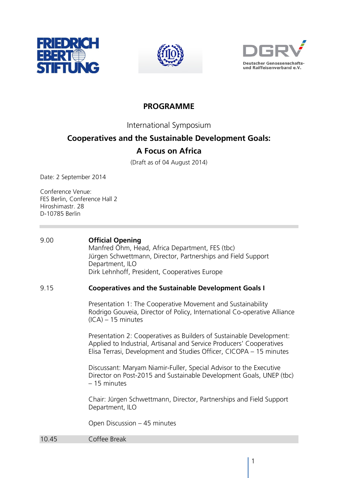





## **PROGRAMME**

International Symposium

## **Cooperatives and the Sustainable Development Goals:**

## **A Focus on Africa**

(Draft as of 04 August 2014)

Date: 2 September 2014

Conference Venue: FES Berlin, Conference Hall 2 Hiroshimastr. 28 D-10785 Berlin

| 9.00  | <b>Official Opening</b><br>Manfred Öhm, Head, Africa Department, FES (tbc)<br>Jürgen Schwettmann, Director, Partnerships and Field Support<br>Department, ILO<br>Dirk Lehnhoff, President, Cooperatives Europe      |
|-------|---------------------------------------------------------------------------------------------------------------------------------------------------------------------------------------------------------------------|
| 9.15  | <b>Cooperatives and the Sustainable Development Goals I</b>                                                                                                                                                         |
|       | Presentation 1: The Cooperative Movement and Sustainability<br>Rodrigo Gouveia, Director of Policy, International Co-operative Alliance<br>$(ICA) - 15$ minutes                                                     |
|       | Presentation 2: Cooperatives as Builders of Sustainable Development:<br>Applied to Industrial, Artisanal and Service Producers' Cooperatives<br>Elisa Terrasi, Development and Studies Officer, CICOPA – 15 minutes |
|       | Discussant: Maryam Niamir-Fuller, Special Advisor to the Executive<br>Director on Post-2015 and Sustainable Development Goals, UNEP (tbc)<br>- 15 minutes                                                           |
|       | Chair: Jürgen Schwettmann, Director, Partnerships and Field Support<br>Department, ILO                                                                                                                              |
|       | Open Discussion - 45 minutes                                                                                                                                                                                        |
| 10.45 | Coffee Break                                                                                                                                                                                                        |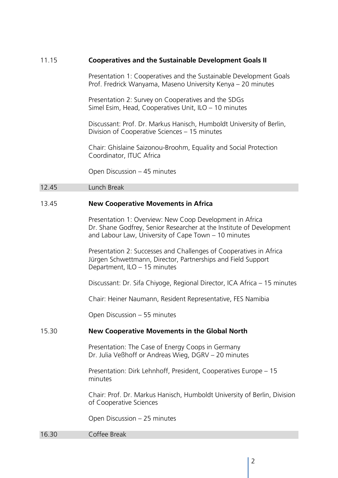| 11.15 | <b>Cooperatives and the Sustainable Development Goals II</b>                                                                                                                             |
|-------|------------------------------------------------------------------------------------------------------------------------------------------------------------------------------------------|
|       | Presentation 1: Cooperatives and the Sustainable Development Goals<br>Prof. Fredrick Wanyama, Maseno University Kenya - 20 minutes                                                       |
|       | Presentation 2: Survey on Cooperatives and the SDGs<br>Simel Esim, Head, Cooperatives Unit, ILO - 10 minutes                                                                             |
|       | Discussant: Prof. Dr. Markus Hanisch, Humboldt University of Berlin,<br>Division of Cooperative Sciences - 15 minutes                                                                    |
|       | Chair: Ghislaine Saizonou-Broohm, Equality and Social Protection<br>Coordinator, ITUC Africa                                                                                             |
|       | Open Discussion - 45 minutes                                                                                                                                                             |
| 12.45 | Lunch Break                                                                                                                                                                              |
| 13.45 | <b>New Cooperative Movements in Africa</b>                                                                                                                                               |
|       | Presentation 1: Overview: New Coop Development in Africa<br>Dr. Shane Godfrey, Senior Researcher at the Institute of Development<br>and Labour Law, University of Cape Town - 10 minutes |
|       | Presentation 2: Successes and Challenges of Cooperatives in Africa<br>Jürgen Schwettmann, Director, Partnerships and Field Support<br>Department, ILO - 15 minutes                       |
|       | Discussant: Dr. Sifa Chiyoge, Regional Director, ICA Africa - 15 minutes                                                                                                                 |
|       | Chair: Heiner Naumann, Resident Representative, FES Namibia                                                                                                                              |
|       | Open Discussion - 55 minutes                                                                                                                                                             |
| 15.30 | <b>New Cooperative Movements in the Global North</b>                                                                                                                                     |
|       | Presentation: The Case of Energy Coops in Germany<br>Dr. Julia Veßhoff or Andreas Wieg, DGRV - 20 minutes                                                                                |
|       | Presentation: Dirk Lehnhoff, President, Cooperatives Europe – 15<br>minutes                                                                                                              |
|       | Chair: Prof. Dr. Markus Hanisch, Humboldt University of Berlin, Division<br>of Cooperative Sciences                                                                                      |
|       | Open Discussion - 25 minutes                                                                                                                                                             |
| 16.30 | Coffee Break                                                                                                                                                                             |